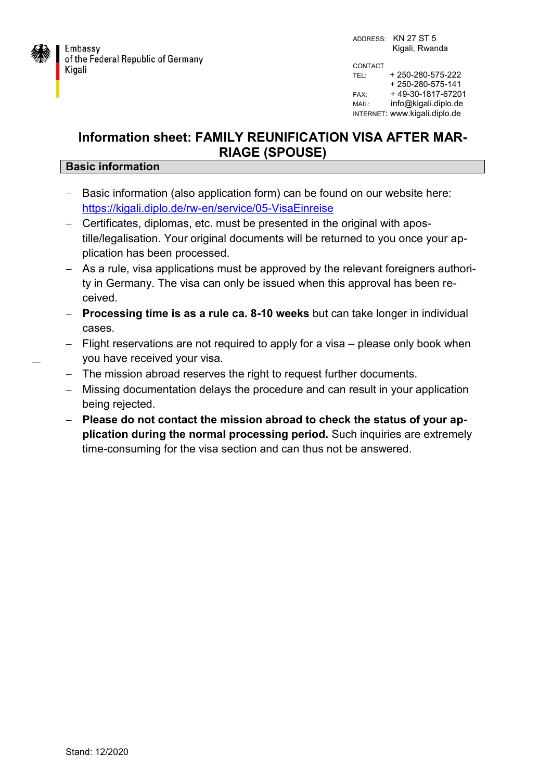

## **Information sheet: FAMILY REUNIFICATION VISA AFTER MAR-RIAGE (SPOUSE)**

## **Basic information**

- Basic information (also application form) can be found on our website here: <https://kigali.diplo.de/rw-en/service/05-VisaEinreise>
- Certificates, diplomas, etc. must be presented in the original with apostille/legalisation. Your original documents will be returned to you once your application has been processed.
- As a rule, visa applications must be approved by the relevant foreigners authority in Germany. The visa can only be issued when this approval has been received.
- **Processing time is as a rule ca. 8-10 weeks** but can take longer in individual cases.
- Flight reservations are not required to apply for a visa please only book when you have received your visa.
- The mission abroad reserves the right to request further documents.
- Missing documentation delays the procedure and can result in your application being rejected.
- **Please do not contact the mission abroad to check the status of your application during the normal processing period.** Such inquiries are extremely time-consuming for the visa section and can thus not be answered.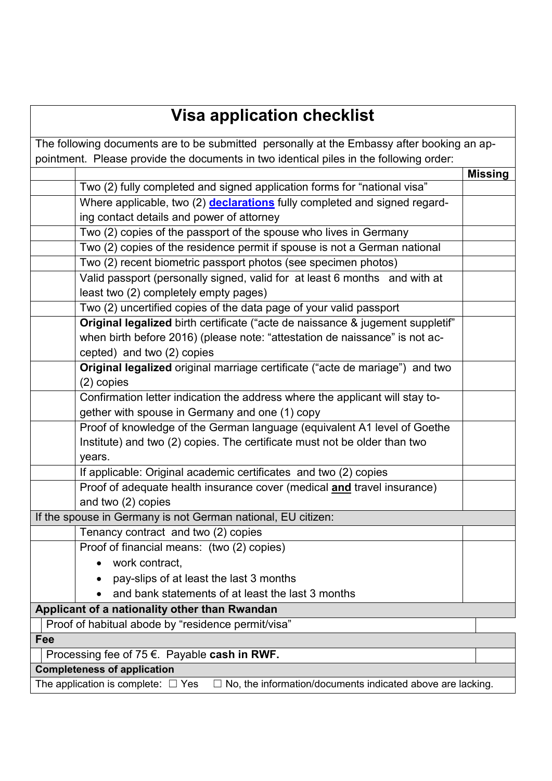## **Visa application checklist**

| The following documents are to be submitted personally at the Embassy after booking an ap-                   |                                                                                |                |
|--------------------------------------------------------------------------------------------------------------|--------------------------------------------------------------------------------|----------------|
| pointment. Please provide the documents in two identical piles in the following order:                       |                                                                                |                |
|                                                                                                              |                                                                                | <b>Missing</b> |
|                                                                                                              | Two (2) fully completed and signed application forms for "national visa"       |                |
|                                                                                                              | Where applicable, two (2) declarations fully completed and signed regard-      |                |
|                                                                                                              | ing contact details and power of attorney                                      |                |
|                                                                                                              | Two (2) copies of the passport of the spouse who lives in Germany              |                |
|                                                                                                              | Two (2) copies of the residence permit if spouse is not a German national      |                |
|                                                                                                              | Two (2) recent biometric passport photos (see specimen photos)                 |                |
|                                                                                                              | Valid passport (personally signed, valid for at least 6 months and with at     |                |
|                                                                                                              | least two (2) completely empty pages)                                          |                |
|                                                                                                              | Two (2) uncertified copies of the data page of your valid passport             |                |
|                                                                                                              | Original legalized birth certificate ("acte de naissance & jugement suppletif" |                |
|                                                                                                              | when birth before 2016) (please note: "attestation de naissance" is not ac-    |                |
|                                                                                                              | cepted) and two (2) copies                                                     |                |
|                                                                                                              | Original legalized original marriage certificate ("acte de mariage") and two   |                |
|                                                                                                              | $(2)$ copies                                                                   |                |
|                                                                                                              | Confirmation letter indication the address where the applicant will stay to-   |                |
|                                                                                                              | gether with spouse in Germany and one (1) copy                                 |                |
|                                                                                                              | Proof of knowledge of the German language (equivalent A1 level of Goethe       |                |
|                                                                                                              | Institute) and two (2) copies. The certificate must not be older than two      |                |
|                                                                                                              | years.                                                                         |                |
|                                                                                                              | If applicable: Original academic certificates and two (2) copies               |                |
|                                                                                                              | Proof of adequate health insurance cover (medical and travel insurance)        |                |
|                                                                                                              | and two (2) copies                                                             |                |
| If the spouse in Germany is not German national, EU citizen:                                                 |                                                                                |                |
|                                                                                                              | Tenancy contract and two (2) copies                                            |                |
|                                                                                                              | Proof of financial means: (two (2) copies)                                     |                |
|                                                                                                              | work contract,                                                                 |                |
|                                                                                                              | pay-slips of at least the last 3 months                                        |                |
|                                                                                                              | and bank statements of at least the last 3 months                              |                |
| Applicant of a nationality other than Rwandan                                                                |                                                                                |                |
| Proof of habitual abode by "residence permit/visa"                                                           |                                                                                |                |
| Fee                                                                                                          |                                                                                |                |
| Processing fee of 75 $\epsilon$ . Payable cash in RWF.                                                       |                                                                                |                |
| <b>Completeness of application</b>                                                                           |                                                                                |                |
| The application is complete: $\Box$ Yes<br>$\Box$ No, the information/documents indicated above are lacking. |                                                                                |                |